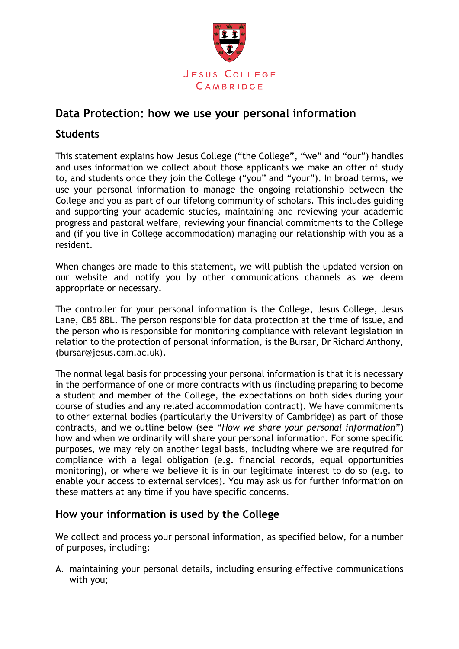

# **Data Protection: how we use your personal information**

# **Students**

This statement explains how Jesus College ("the College", "we" and "our") handles and uses information we collect about those applicants we make an offer of study to, and students once they join the College ("you" and "your"). In broad terms, we use your personal information to manage the ongoing relationship between the College and you as part of our lifelong community of scholars. This includes guiding and supporting your academic studies, maintaining and reviewing your academic progress and pastoral welfare, reviewing your financial commitments to the College and (if you live in College accommodation) managing our relationship with you as a resident.

When changes are made to this statement, we will publish the updated version on our website and notify you by other communications channels as we deem appropriate or necessary.

The controller for your personal information is the College, Jesus College, Jesus Lane, CB5 8BL. The person responsible for data protection at the time of issue, and the person who is responsible for monitoring compliance with relevant legislation in relation to the protection of personal information, is the Bursar, Dr Richard Anthony, (bursar@jesus.cam.ac.uk).

The normal legal basis for processing your personal information is that it is necessary in the performance of one or more contracts with us (including preparing to become a student and member of the College, the expectations on both sides during your course of studies and any related accommodation contract). We have commitments to other external bodies (particularly the University of Cambridge) as part of those contracts, and we outline below (see "*How we share your personal information*") how and when we ordinarily will share your personal information. For some specific purposes, we may rely on another legal basis, including where we are required for compliance with a legal obligation (e.g. financial records, equal opportunities monitoring), or where we believe it is in our legitimate interest to do so (e.g. to enable your access to external services). You may ask us for further information on these matters at any time if you have specific concerns.

# **How your information is used by the College**

We collect and process your personal information, as specified below, for a number of purposes, including:

A. maintaining your personal details, including ensuring effective communications with you;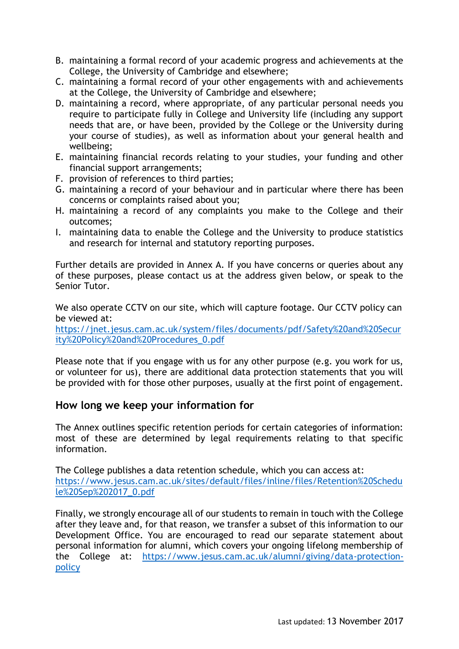- B. maintaining a formal record of your academic progress and achievements at the College, the University of Cambridge and elsewhere;
- C. maintaining a formal record of your other engagements with and achievements at the College, the University of Cambridge and elsewhere;
- D. maintaining a record, where appropriate, of any particular personal needs you require to participate fully in College and University life (including any support needs that are, or have been, provided by the College or the University during your course of studies), as well as information about your general health and wellbeing;
- E. maintaining financial records relating to your studies, your funding and other financial support arrangements;
- F. provision of references to third parties;
- G. maintaining a record of your behaviour and in particular where there has been concerns or complaints raised about you;
- H. maintaining a record of any complaints you make to the College and their outcomes;
- I. maintaining data to enable the College and the University to produce statistics and research for internal and statutory reporting purposes.

Further details are provided in Annex A. If you have concerns or queries about any of these purposes, please contact us at the address given below, or speak to the Senior Tutor.

We also operate CCTV on our site, which will capture footage. Our CCTV policy can be viewed at:

[https://jnet.jesus.cam.ac.uk/system/files/documents/pdf/Safety%20and%20Secur](https://jnet.jesus.cam.ac.uk/system/files/documents/pdf/Safety%20and%20Security%20Policy%20and%20Procedures_0.pdf) [ity%20Policy%20and%20Procedures\\_0.pdf](https://jnet.jesus.cam.ac.uk/system/files/documents/pdf/Safety%20and%20Security%20Policy%20and%20Procedures_0.pdf)

Please note that if you engage with us for any other purpose (e.g. you work for us, or volunteer for us), there are additional data protection statements that you will be provided with for those other purposes, usually at the first point of engagement.

# **How long we keep your information for**

The Annex outlines specific retention periods for certain categories of information: most of these are determined by legal requirements relating to that specific information.

The College publishes a data retention schedule, which you can access at: [https://www.jesus.cam.ac.uk/sites/default/files/inline/files/Retention%20Schedu](https://www.jesus.cam.ac.uk/sites/default/files/inline/files/Retention%20Schedule%20Sep%202017_0.pdf) [le%20Sep%202017\\_0.pdf](https://www.jesus.cam.ac.uk/sites/default/files/inline/files/Retention%20Schedule%20Sep%202017_0.pdf)

Finally, we strongly encourage all of our students to remain in touch with the College after they leave and, for that reason, we transfer a subset of this information to our Development Office. You are encouraged to read our separate statement about personal information for alumni, which covers your ongoing lifelong membership of the College at: [https://www.jesus.cam.ac.uk/alumni/giving/data-protection](https://www.jesus.cam.ac.uk/alumni/giving/data-protection-policy)[policy](https://www.jesus.cam.ac.uk/alumni/giving/data-protection-policy)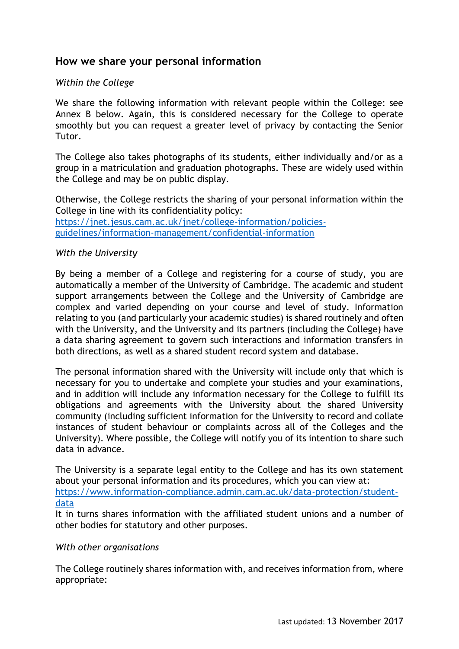# **How we share your personal information**

### *Within the College*

We share the following information with relevant people within the College: see Annex B below. Again, this is considered necessary for the College to operate smoothly but you can request a greater level of privacy by contacting the Senior Tutor.

The College also takes photographs of its students, either individually and/or as a group in a matriculation and graduation photographs. These are widely used within the College and may be on public display.

Otherwise, the College restricts the sharing of your personal information within the College in line with its confidentiality policy: [https://jnet.jesus.cam.ac.uk/jnet/college-information/policies](https://jnet.jesus.cam.ac.uk/jnet/college-information/policies-guidelines/information-management/confidential-information)[guidelines/information-management/confidential-information](https://jnet.jesus.cam.ac.uk/jnet/college-information/policies-guidelines/information-management/confidential-information)

#### *With the University*

By being a member of a College and registering for a course of study, you are automatically a member of the University of Cambridge. The academic and student support arrangements between the College and the University of Cambridge are complex and varied depending on your course and level of study. Information relating to you (and particularly your academic studies) is shared routinely and often with the University, and the University and its partners (including the College) have a data sharing agreement to govern such interactions and information transfers in both directions, as well as a shared student record system and database.

The personal information shared with the University will include only that which is necessary for you to undertake and complete your studies and your examinations, and in addition will include any information necessary for the College to fulfill its obligations and agreements with the University about the shared University community (including sufficient information for the University to record and collate instances of student behaviour or complaints across all of the Colleges and the University). Where possible, the College will notify you of its intention to share such data in advance.

The University is a separate legal entity to the College and has its own statement about your personal information and its procedures, which you can view at: [https://www.information-compliance.admin.cam.ac.uk/data-protection/student](https://www.information-compliance.admin.cam.ac.uk/data-protection/student-data)[data](https://www.information-compliance.admin.cam.ac.uk/data-protection/student-data)

It in turns shares information with the affiliated student unions and a number of other bodies for statutory and other purposes.

#### *With other organisations*

The College routinely shares information with, and receives information from, where appropriate: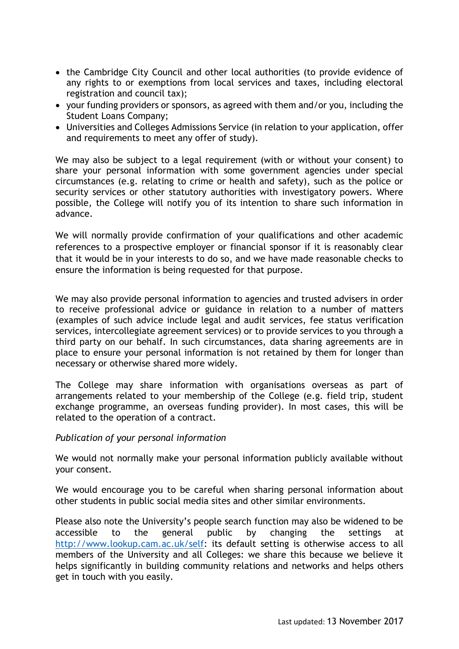- the Cambridge City Council and other local authorities (to provide evidence of any rights to or exemptions from local services and taxes, including electoral registration and council tax);
- your funding providers or sponsors, as agreed with them and/or you, including the Student Loans Company;
- Universities and Colleges Admissions Service (in relation to your application, offer and requirements to meet any offer of study).

We may also be subject to a legal requirement (with or without your consent) to share your personal information with some government agencies under special circumstances (e.g. relating to crime or health and safety), such as the police or security services or other statutory authorities with investigatory powers. Where possible, the College will notify you of its intention to share such information in advance.

We will normally provide confirmation of your qualifications and other academic references to a prospective employer or financial sponsor if it is reasonably clear that it would be in your interests to do so, and we have made reasonable checks to ensure the information is being requested for that purpose.

We may also provide personal information to agencies and trusted advisers in order to receive professional advice or guidance in relation to a number of matters (examples of such advice include legal and audit services, fee status verification services, intercollegiate agreement services) or to provide services to you through a third party on our behalf. In such circumstances, data sharing agreements are in place to ensure your personal information is not retained by them for longer than necessary or otherwise shared more widely.

The College may share information with organisations overseas as part of arrangements related to your membership of the College (e.g. field trip, student exchange programme, an overseas funding provider). In most cases, this will be related to the operation of a contract.

#### *Publication of your personal information*

We would not normally make your personal information publicly available without your consent.

We would encourage you to be careful when sharing personal information about other students in public social media sites and other similar environments.

Please also note the University's people search function may also be widened to be accessible to the general public by changing the settings at [http://www.lookup.cam.ac.uk/self:](http://www.lookup.cam.ac.uk/self) its default setting is otherwise access to all members of the University and all Colleges: we share this because we believe it helps significantly in building community relations and networks and helps others get in touch with you easily.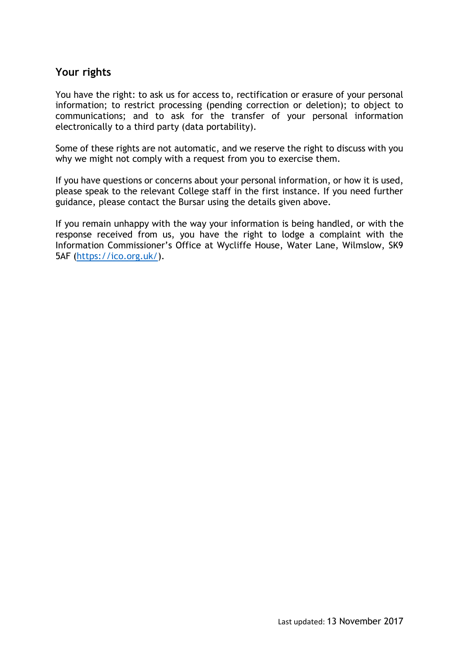# **Your rights**

You have the right: to ask us for access to, rectification or erasure of your personal information; to restrict processing (pending correction or deletion); to object to communications; and to ask for the transfer of your personal information electronically to a third party (data portability).

Some of these rights are not automatic, and we reserve the right to discuss with you why we might not comply with a request from you to exercise them.

If you have questions or concerns about your personal information, or how it is used, please speak to the relevant College staff in the first instance. If you need further guidance, please contact the Bursar using the details given above.

If you remain unhappy with the way your information is being handled, or with the response received from us, you have the right to lodge a complaint with the Information Commissioner's Office at Wycliffe House, Water Lane, Wilmslow, SK9 5AF [\(https://ico.org.uk/\)](https://ico.org.uk/).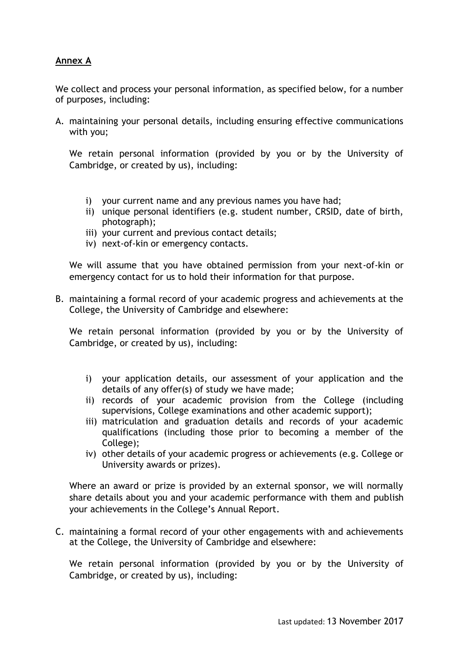## **Annex A**

We collect and process your personal information, as specified below, for a number of purposes, including:

A. maintaining your personal details, including ensuring effective communications with you;

We retain personal information (provided by you or by the University of Cambridge, or created by us), including:

- i) your current name and any previous names you have had;
- ii) unique personal identifiers (e.g. student number, CRSID, date of birth, photograph);
- iii) your current and previous contact details;
- iv) next-of-kin or emergency contacts.

We will assume that you have obtained permission from your next-of-kin or emergency contact for us to hold their information for that purpose.

B. maintaining a formal record of your academic progress and achievements at the College, the University of Cambridge and elsewhere:

We retain personal information (provided by you or by the University of Cambridge, or created by us), including:

- i) your application details, our assessment of your application and the details of any offer(s) of study we have made;
- ii) records of your academic provision from the College (including supervisions, College examinations and other academic support);
- iii) matriculation and graduation details and records of your academic qualifications (including those prior to becoming a member of the College);
- iv) other details of your academic progress or achievements (e.g. College or University awards or prizes).

Where an award or prize is provided by an external sponsor, we will normally share details about you and your academic performance with them and publish your achievements in the College's Annual Report.

C. maintaining a formal record of your other engagements with and achievements at the College, the University of Cambridge and elsewhere:

We retain personal information (provided by you or by the University of Cambridge, or created by us), including: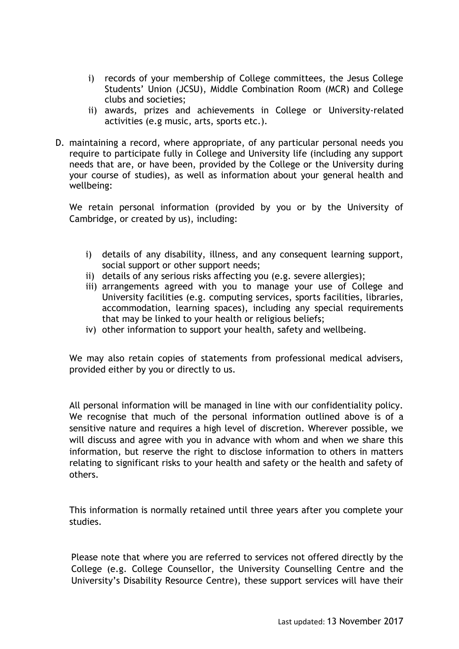- i) records of your membership of College committees, the Jesus College Students' Union (JCSU), Middle Combination Room (MCR) and College clubs and societies;
- ii) awards, prizes and achievements in College or University-related activities (e.g music, arts, sports etc.).
- D. maintaining a record, where appropriate, of any particular personal needs you require to participate fully in College and University life (including any support needs that are, or have been, provided by the College or the University during your course of studies), as well as information about your general health and wellbeing:

We retain personal information (provided by you or by the University of Cambridge, or created by us), including:

- i) details of any disability, illness, and any consequent learning support, social support or other support needs;
- ii) details of any serious risks affecting you (e.g. severe allergies);
- iii) arrangements agreed with you to manage your use of College and University facilities (e.g. computing services, sports facilities, libraries, accommodation, learning spaces), including any special requirements that may be linked to your health or religious beliefs;
- iv) other information to support your health, safety and wellbeing.

We may also retain copies of statements from professional medical advisers, provided either by you or directly to us.

All personal information will be managed in line with our confidentiality policy. We recognise that much of the personal information outlined above is of a sensitive nature and requires a high level of discretion. Wherever possible, we will discuss and agree with you in advance with whom and when we share this information, but reserve the right to disclose information to others in matters relating to significant risks to your health and safety or the health and safety of others.

This information is normally retained until three years after you complete your studies.

Please note that where you are referred to services not offered directly by the College (e.g. College Counsellor, the University Counselling Centre and the University's Disability Resource Centre), these support services will have their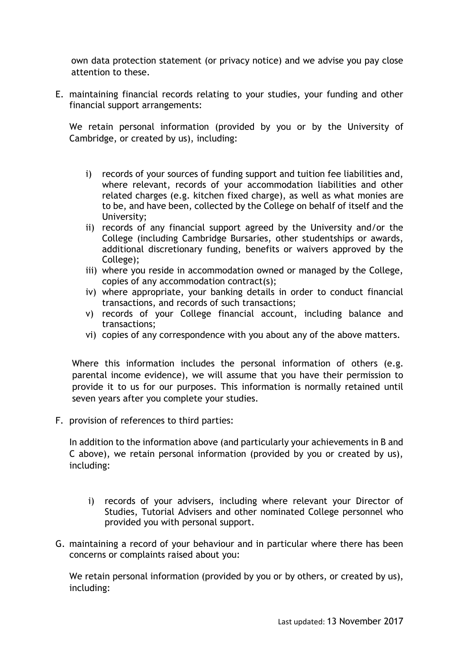own data protection statement (or privacy notice) and we advise you pay close attention to these.

E. maintaining financial records relating to your studies, your funding and other financial support arrangements:

We retain personal information (provided by you or by the University of Cambridge, or created by us), including:

- i) records of your sources of funding support and tuition fee liabilities and, where relevant, records of your accommodation liabilities and other related charges (e.g. kitchen fixed charge), as well as what monies are to be, and have been, collected by the College on behalf of itself and the University;
- ii) records of any financial support agreed by the University and/or the College (including Cambridge Bursaries, other studentships or awards, additional discretionary funding, benefits or waivers approved by the College);
- iii) where you reside in accommodation owned or managed by the College, copies of any accommodation contract(s);
- iv) where appropriate, your banking details in order to conduct financial transactions, and records of such transactions;
- v) records of your College financial account, including balance and transactions;
- vi) copies of any correspondence with you about any of the above matters.

Where this information includes the personal information of others (e.g. parental income evidence), we will assume that you have their permission to provide it to us for our purposes. This information is normally retained until seven years after you complete your studies.

F. provision of references to third parties:

In addition to the information above (and particularly your achievements in B and C above), we retain personal information (provided by you or created by us), including:

- i) records of your advisers, including where relevant your Director of Studies, Tutorial Advisers and other nominated College personnel who provided you with personal support.
- G. maintaining a record of your behaviour and in particular where there has been concerns or complaints raised about you:

We retain personal information (provided by you or by others, or created by us), including: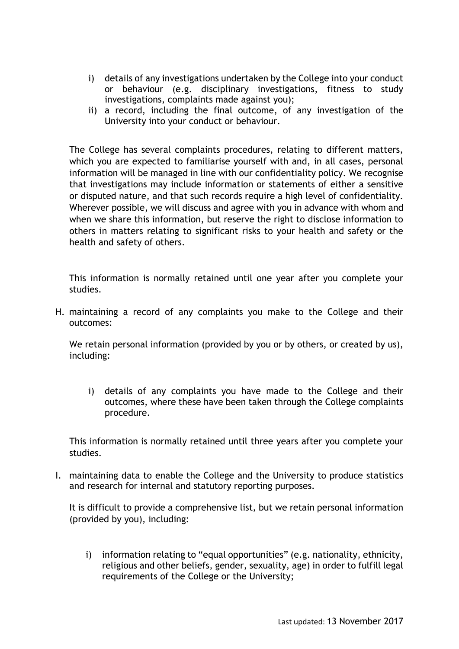- i) details of any investigations undertaken by the College into your conduct or behaviour (e.g. disciplinary investigations, fitness to study investigations, complaints made against you);
- ii) a record, including the final outcome, of any investigation of the University into your conduct or behaviour.

The College has several complaints procedures, relating to different matters, which you are expected to familiarise yourself with and, in all cases, personal information will be managed in line with our confidentiality policy. We recognise that investigations may include information or statements of either a sensitive or disputed nature, and that such records require a high level of confidentiality. Wherever possible, we will discuss and agree with you in advance with whom and when we share this information, but reserve the right to disclose information to others in matters relating to significant risks to your health and safety or the health and safety of others.

This information is normally retained until one year after you complete your studies.

H. maintaining a record of any complaints you make to the College and their outcomes:

We retain personal information (provided by you or by others, or created by us), including:

i) details of any complaints you have made to the College and their outcomes, where these have been taken through the College complaints procedure.

This information is normally retained until three years after you complete your studies.

I. maintaining data to enable the College and the University to produce statistics and research for internal and statutory reporting purposes.

It is difficult to provide a comprehensive list, but we retain personal information (provided by you), including:

i) information relating to "equal opportunities" (e.g. nationality, ethnicity, religious and other beliefs, gender, sexuality, age) in order to fulfill legal requirements of the College or the University;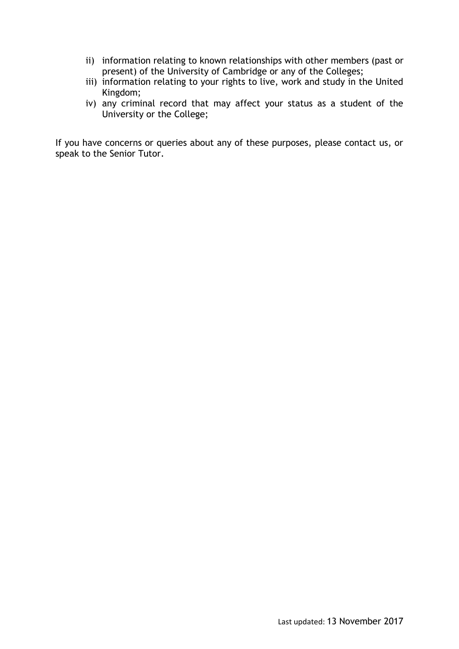- ii) information relating to known relationships with other members (past or present) of the University of Cambridge or any of the Colleges;
- iii) information relating to your rights to live, work and study in the United Kingdom;
- iv) any criminal record that may affect your status as a student of the University or the College;

If you have concerns or queries about any of these purposes, please contact us, or speak to the Senior Tutor.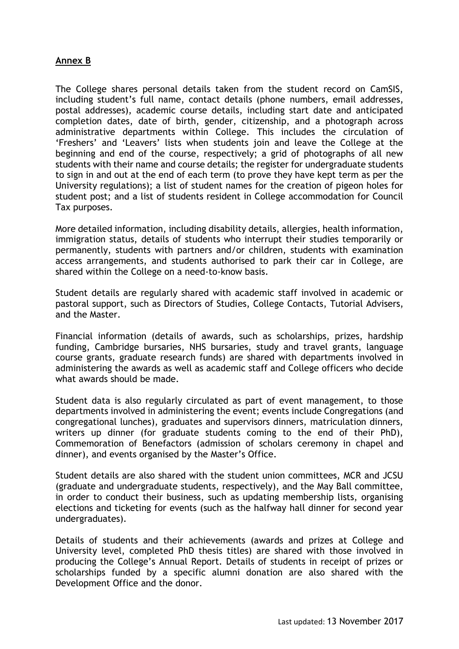### **Annex B**

The College shares personal details taken from the student record on CamSIS, including student's full name, contact details (phone numbers, email addresses, postal addresses), academic course details, including start date and anticipated completion dates, date of birth, gender, citizenship, and a photograph across administrative departments within College. This includes the circulation of 'Freshers' and 'Leavers' lists when students join and leave the College at the beginning and end of the course, respectively; a grid of photographs of all new students with their name and course details; the register for undergraduate students to sign in and out at the end of each term (to prove they have kept term as per the University regulations); a list of student names for the creation of pigeon holes for student post; and a list of students resident in College accommodation for Council Tax purposes.

More detailed information, including disability details, allergies, health information, immigration status, details of students who interrupt their studies temporarily or permanently, students with partners and/or children, students with examination access arrangements, and students authorised to park their car in College, are shared within the College on a need-to-know basis.

Student details are regularly shared with academic staff involved in academic or pastoral support, such as Directors of Studies, College Contacts, Tutorial Advisers, and the Master.

Financial information (details of awards, such as scholarships, prizes, hardship funding, Cambridge bursaries, NHS bursaries, study and travel grants, language course grants, graduate research funds) are shared with departments involved in administering the awards as well as academic staff and College officers who decide what awards should be made.

Student data is also regularly circulated as part of event management, to those departments involved in administering the event; events include Congregations (and congregational lunches), graduates and supervisors dinners, matriculation dinners, writers up dinner (for graduate students coming to the end of their PhD), Commemoration of Benefactors (admission of scholars ceremony in chapel and dinner), and events organised by the Master's Office.

Student details are also shared with the student union committees, MCR and JCSU (graduate and undergraduate students, respectively), and the May Ball committee, in order to conduct their business, such as updating membership lists, organising elections and ticketing for events (such as the halfway hall dinner for second year undergraduates).

Details of students and their achievements (awards and prizes at College and University level, completed PhD thesis titles) are shared with those involved in producing the College's Annual Report. Details of students in receipt of prizes or scholarships funded by a specific alumni donation are also shared with the Development Office and the donor.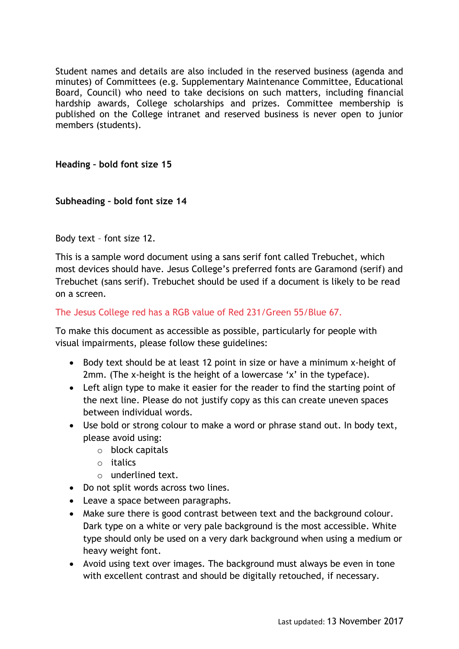Student names and details are also included in the reserved business (agenda and minutes) of Committees (e.g. Supplementary Maintenance Committee, Educational Board, Council) who need to take decisions on such matters, including financial hardship awards, College scholarships and prizes. Committee membership is published on the College intranet and reserved business is never open to junior members (students).

## **Heading – bold font size 15**

## **Subheading – bold font size 14**

Body text – font size 12.

This is a sample word document using a sans serif font called Trebuchet, which most devices should have. Jesus College's preferred fonts are Garamond (serif) and Trebuchet (sans serif). Trebuchet should be used if a document is likely to be read on a screen.

### The Jesus College red has a RGB value of Red 231/Green 55/Blue 67.

To make this document as accessible as possible, particularly for people with visual impairments, please follow these guidelines:

- Body text should be at least 12 point in size or have a minimum x-height of 2mm. (The x-height is the height of a lowercase 'x' in the typeface).
- Left align type to make it easier for the reader to find the starting point of the next line. Please do not justify copy as this can create uneven spaces between individual words.
- Use bold or strong colour to make a word or phrase stand out. In body text, please avoid using:
	- o block capitals
	- o italics
	- o underlined text.
- Do not split words across two lines.
- Leave a space between paragraphs.
- Make sure there is good contrast between text and the background colour. Dark type on a white or very pale background is the most accessible. White type should only be used on a very dark background when using a medium or heavy weight font.
- Avoid using text over images. The background must always be even in tone with excellent contrast and should be digitally retouched, if necessary.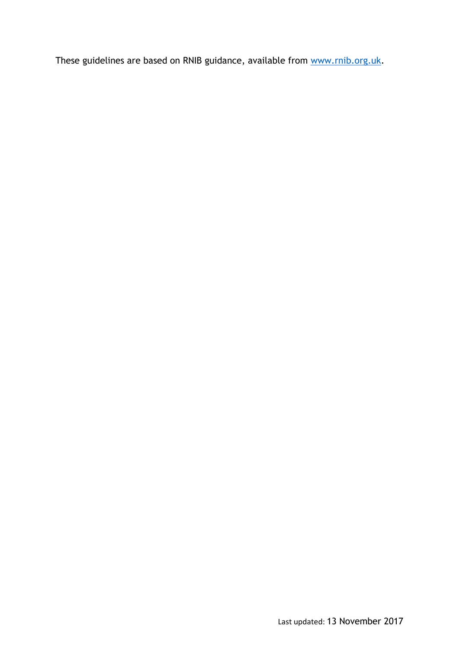These guidelines are based on RNIB guidance, available from [www.rnib.org.uk.](http://www.rnib.org.uk/)